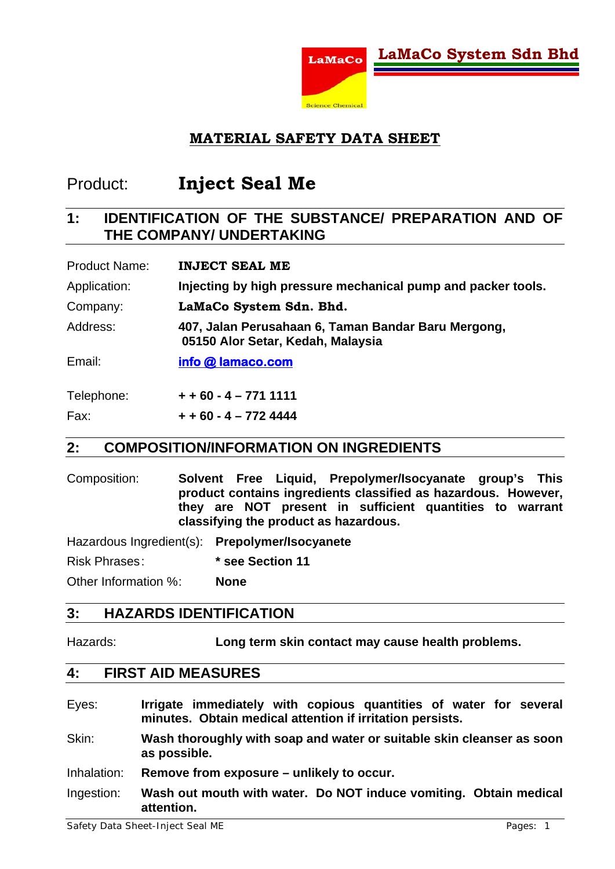

## Product: **Inject Seal Me**

## **1: IDENTIFICATION OF THE SUBSTANCE/ PREPARATION AND OF THE COMPANY/ UNDERTAKING**

| <b>Product Name:</b> | <b>INJECT SEAL ME</b>                                                                    |
|----------------------|------------------------------------------------------------------------------------------|
| Application:         | Injecting by high pressure mechanical pump and packer tools.                             |
| Company:             | LaMaCo System Sdn. Bhd.                                                                  |
| Address:             | 407, Jalan Perusahaan 6, Taman Bandar Baru Mergong,<br>05150 Alor Setar, Kedah, Malaysia |
| Email:               | info @ lamaco.com                                                                        |
| Telephone:           | $+ + 60 - 4 - 7711111$                                                                   |

 $Fax: + 60 - 4 - 7724444$ 

#### **2: COMPOSITION/INFORMATION ON INGREDIENTS**

Composition: **Solvent Free Liquid, Prepolymer/Isocyanate group's This product contains ingredients classified as hazardous. However, they are NOT present in sufficient quantities to warrant classifying the product as hazardous.** 

Hazardous Ingredient(s): **Prepolymer/Isocyanete**

Risk Phrases : **\* see Section 11**

Other Information % : **None** 

#### **3: HAZARDS IDENTIFICATION**

Hazards: **Long term skin contact may cause health problems.** 

#### **4: FIRST AID MEASURES**

- Eyes: **Irrigate immediately with copious quantities of water for several minutes. Obtain medical attention if irritation persists.**
- Skin: **Wash thoroughly with soap and water or suitable skin cleanser as soon as possible.**
- Inhalation: **Remove from exposure unlikely to occur.**
- Ingestion: **Wash out mouth with water. Do NOT induce vomiting. Obtain medical attention.**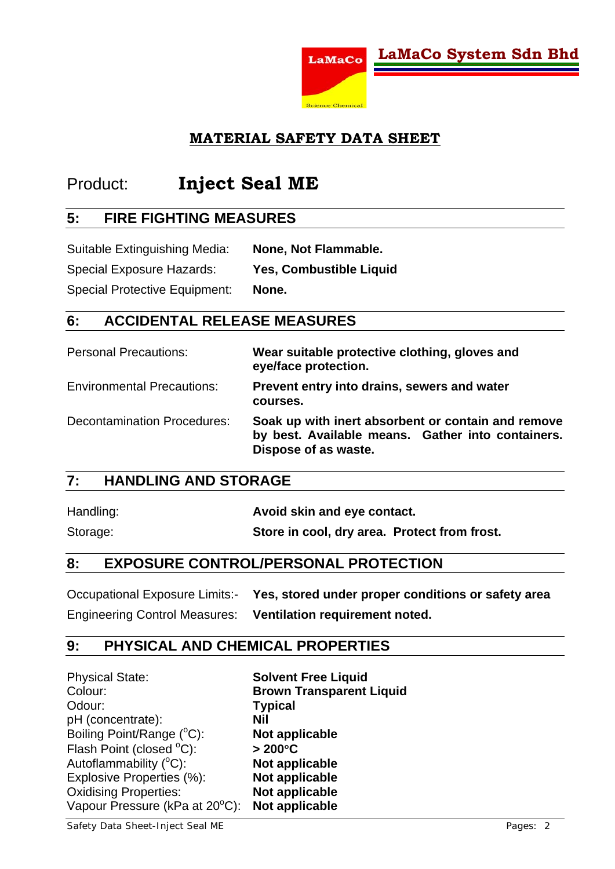

## Product: **Inject Seal ME**

#### **5: FIRE FIGHTING MEASURES**

Suitable Extinguishing Media: **None, Not Flammable.**  Special Exposure Hazards: **Yes, Combustible Liquid**  Special Protective Equipment: **None.** 

#### **6: ACCIDENTAL RELEASE MEASURES**

| <b>Personal Precautions:</b>       | Wear suitable protective clothing, gloves and<br>eye/face protection.                                                           |
|------------------------------------|---------------------------------------------------------------------------------------------------------------------------------|
| <b>Environmental Precautions:</b>  | Prevent entry into drains, sewers and water<br>courses.                                                                         |
| <b>Decontamination Procedures:</b> | Soak up with inert absorbent or contain and remove<br>by best. Available means. Gather into containers.<br>Dispose of as waste. |

## **7: HANDLING AND STORAGE**

| Handling: | Avoid skin and eye contact.                  |
|-----------|----------------------------------------------|
| Storage:  | Store in cool, dry area. Protect from frost. |

#### **8: EXPOSURE CONTROL/PERSONAL PROTECTION**

Occupational Exposure Limits:- **Yes, stored under proper conditions or safety area**  Engineering Control Measures: **Ventilation requirement noted.**

#### **9: PHYSICAL AND CHEMICAL PROPERTIES**

| <b>Physical State:</b>         | <b>Solvent Free Liquid</b>      |
|--------------------------------|---------------------------------|
| Colour:                        | <b>Brown Transparent Liquid</b> |
| Odour:                         | <b>Typical</b>                  |
| pH (concentrate):              | Nil                             |
| Boiling Point/Range (°C):      | Not applicable                  |
| Flash Point (closed °C):       | $>200^{\circ}$ C                |
| Autoflammability (°C):         | Not applicable                  |
| Explosive Properties (%):      | Not applicable                  |
| <b>Oxidising Properties:</b>   | Not applicable                  |
| Vapour Pressure (kPa at 20°C): | Not applicable                  |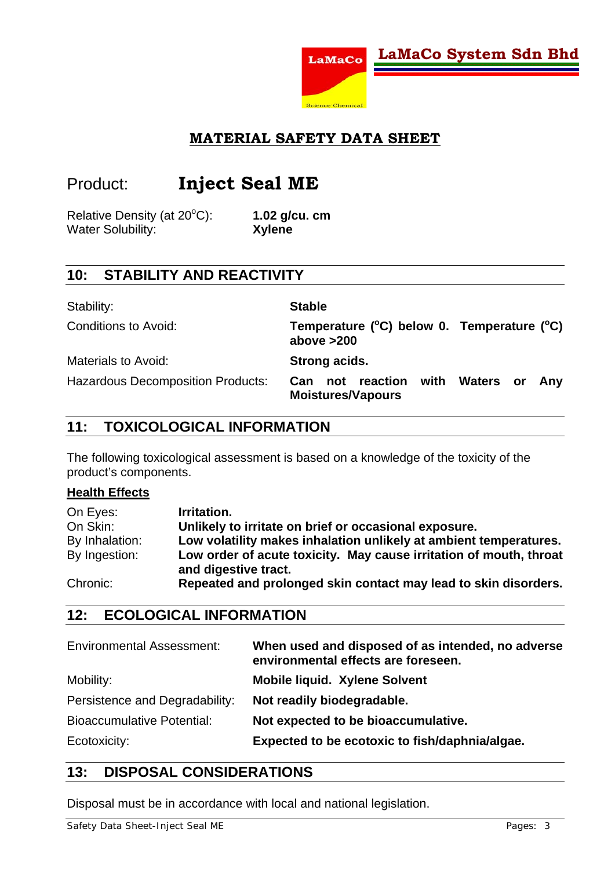

## Product: **Inject Seal ME**

Relative Density (at  $20^{\circ}$ C): Water Solubility: **Xylene** 

C): **1.02 g/cu. cm** 

## **10: STABILITY AND REACTIVITY**

| Stability:                               | <b>Stable</b>                                                                |
|------------------------------------------|------------------------------------------------------------------------------|
| Conditions to Avoid:                     | Temperature $(^{\circ}C)$ below 0. Temperature $(^{\circ}C)$<br>above $>200$ |
| <b>Materials to Avoid:</b>               | Strong acids.                                                                |
| <b>Hazardous Decomposition Products:</b> | Can not reaction with<br>Waters or<br>Any<br><b>Moistures/Vapours</b>        |

## **11: TOXICOLOGICAL INFORMATION**

The following toxicological assessment is based on a knowledge of the toxicity of the product's components.

#### **Health Effects**

| On Eyes:       | Irritation.                                                                                |
|----------------|--------------------------------------------------------------------------------------------|
| On Skin:       | Unlikely to irritate on brief or occasional exposure.                                      |
| By Inhalation: | Low volatility makes inhalation unlikely at ambient temperatures.                          |
| By Ingestion:  | Low order of acute toxicity. May cause irritation of mouth, throat<br>and digestive tract. |
| Chronic:       | Repeated and prolonged skin contact may lead to skin disorders.                            |

## **12: ECOLOGICAL INFORMATION**

| <b>Environmental Assessment:</b>  | When used and disposed of as intended, no adverse<br>environmental effects are foreseen. |
|-----------------------------------|------------------------------------------------------------------------------------------|
| Mobility:                         | <b>Mobile liquid. Xylene Solvent</b>                                                     |
| Persistence and Degradability:    | Not readily biodegradable.                                                               |
| <b>Bioaccumulative Potential:</b> | Not expected to be bioaccumulative.                                                      |
| Ecotoxicity:                      | Expected to be ecotoxic to fish/daphnia/algae.                                           |

#### **13: DISPOSAL CONSIDERATIONS**

Disposal must be in accordance with local and national legislation.